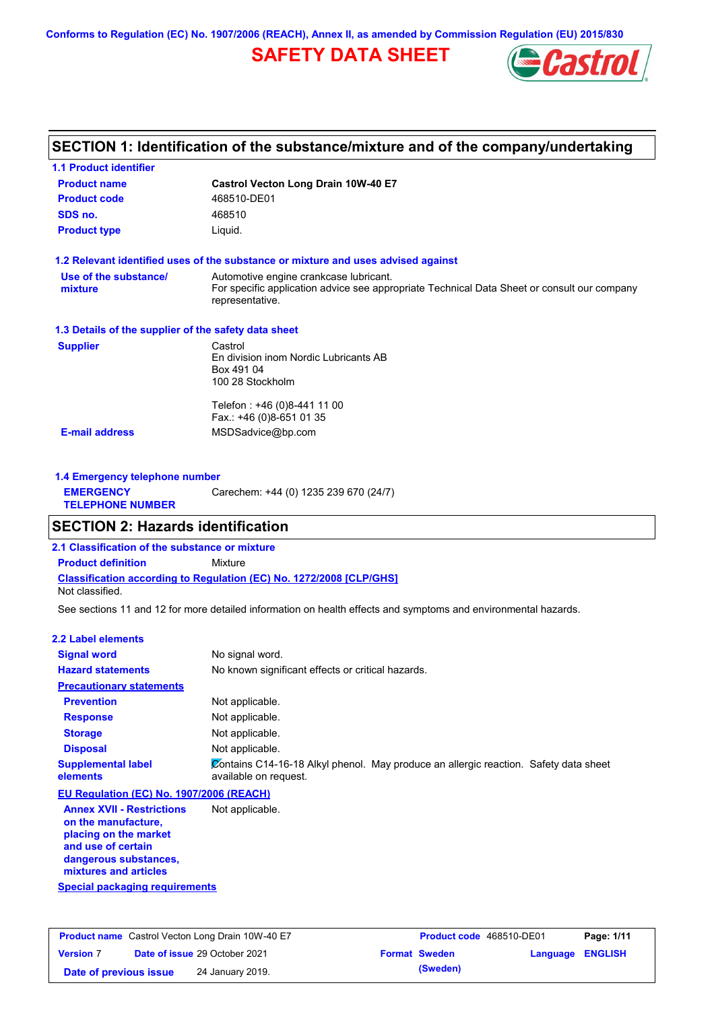**Conforms to Regulation (EC) No. 1907/2006 (REACH), Annex II, as amended by Commission Regulation (EU) 2015/830**

# **SAFETY DATA SHEET**



# **SECTION 1: Identification of the substance/mixture and of the company/undertaking**

| <b>1.1 Product identifier</b>                        |                                                                                                                                                          |
|------------------------------------------------------|----------------------------------------------------------------------------------------------------------------------------------------------------------|
| <b>Product name</b>                                  | <b>Castrol Vecton Long Drain 10W-40 E7</b>                                                                                                               |
| <b>Product code</b>                                  | 468510-DE01                                                                                                                                              |
| SDS no.                                              | 468510                                                                                                                                                   |
| <b>Product type</b>                                  | Liquid.                                                                                                                                                  |
|                                                      | 1.2 Relevant identified uses of the substance or mixture and uses advised against                                                                        |
| Use of the substance/<br>mixture                     | Automotive engine crankcase lubricant.<br>For specific application advice see appropriate Technical Data Sheet or consult our company<br>representative. |
| 1.3 Details of the supplier of the safety data sheet |                                                                                                                                                          |
| <b>Supplier</b>                                      | Castrol<br>En division inom Nordic Lubricants AB<br>Box 491 04<br>100 28 Stockholm                                                                       |
|                                                      | Telefon: +46 (0)8-441 11 00<br>Fax.: +46 (0)8-651 01 35                                                                                                  |
| <b>E-mail address</b>                                | MSDSadvice@bp.com                                                                                                                                        |
| 1.4 Emergency telephone number                       |                                                                                                                                                          |
| <b>EMERGENCY</b><br><b>TELEPHONE NUMBER</b>          | Carechem: +44 (0) 1235 239 670 (24/7)                                                                                                                    |
| <b>SECTION 2: Hazards identification</b>             |                                                                                                                                                          |
| 2.1 Classification of the substance or mixture       |                                                                                                                                                          |
| <b>Product definition</b>                            | Mixture                                                                                                                                                  |
|                                                      | <b>Classification according to Regulation (EC) No. 1272/2008 [CLP/GHS]</b>                                                                               |
| Not classified.                                      |                                                                                                                                                          |
|                                                      | See sections 11 and 12 for more detailed information on health effects and symptoms and environmental hazards.                                           |
| <b>2.2 Label elements</b>                            |                                                                                                                                                          |
| <b>Signal word</b>                                   | No signal word.                                                                                                                                          |
| <b>Hazard statements</b>                             | No known significant effects or critical hazards.                                                                                                        |
|                                                      |                                                                                                                                                          |

| <b>Precautionary statements</b>                                                                                                 |                                                                                                               |
|---------------------------------------------------------------------------------------------------------------------------------|---------------------------------------------------------------------------------------------------------------|
| <b>Prevention</b>                                                                                                               | Not applicable.                                                                                               |
| <b>Response</b>                                                                                                                 | Not applicable.                                                                                               |
| <b>Storage</b>                                                                                                                  | Not applicable.                                                                                               |
| <b>Disposal</b>                                                                                                                 | Not applicable.                                                                                               |
| <b>Supplemental label</b><br>elements                                                                                           | Contains C14-16-18 Alkyl phenol. May produce an allergic reaction. Safety data sheet<br>available on request. |
| EU Regulation (EC) No. 1907/2006 (REACH)                                                                                        |                                                                                                               |
| <b>Annex XVII - Restrictions</b><br>on the manufacture,<br>placing on the market<br>and use of certain<br>dangerous substances, | Not applicable.                                                                                               |

**Special packaging requirements**

**mixtures and articles**

**Product name** Castrol Vecton Long Drain 10W-40 E7 **Product Code** 468510-DE01 **Page: 1/11 Version** 7 **Date of issue** 29 October 2021 **Format Sweden Language ENGLISH Date of previous issue (Sweden)** 24 January 2019.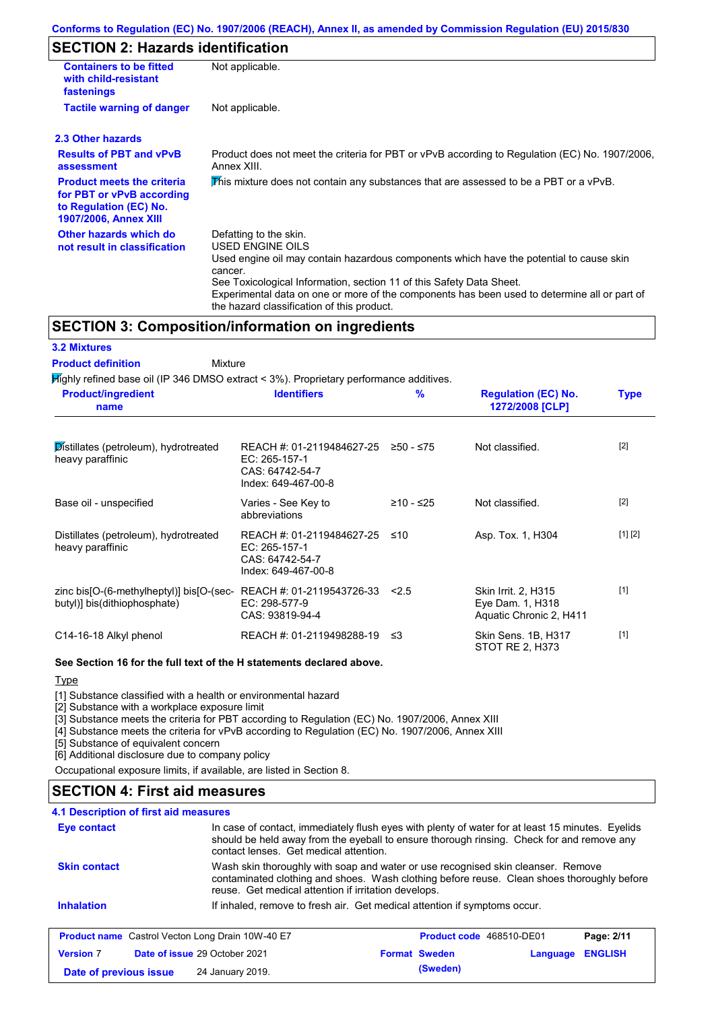#### **Conforms to Regulation (EC) No. 1907/2006 (REACH), Annex II, as amended by Commission Regulation (EU) 2015/830**

## **SECTION 2: Hazards identification**

| <b>Containers to be fitted</b><br>with child-resistant<br>fastenings                                              | Not applicable.                                                                                                                                                                                                                                                                                                                                                               |                                                                                                |                                               |             |  |  |
|-------------------------------------------------------------------------------------------------------------------|-------------------------------------------------------------------------------------------------------------------------------------------------------------------------------------------------------------------------------------------------------------------------------------------------------------------------------------------------------------------------------|------------------------------------------------------------------------------------------------|-----------------------------------------------|-------------|--|--|
| <b>Tactile warning of danger</b>                                                                                  | Not applicable.                                                                                                                                                                                                                                                                                                                                                               |                                                                                                |                                               |             |  |  |
| 2.3 Other hazards                                                                                                 |                                                                                                                                                                                                                                                                                                                                                                               |                                                                                                |                                               |             |  |  |
| <b>Results of PBT and vPvB</b><br>assessment                                                                      | Annex XIII.                                                                                                                                                                                                                                                                                                                                                                   | Product does not meet the criteria for PBT or vPvB according to Regulation (EC) No. 1907/2006, |                                               |             |  |  |
| <b>Product meets the criteria</b><br>for PBT or vPvB according<br>to Regulation (EC) No.<br>1907/2006, Annex XIII | This mixture does not contain any substances that are assessed to be a PBT or a vPvB.                                                                                                                                                                                                                                                                                         |                                                                                                |                                               |             |  |  |
| Other hazards which do<br>not result in classification                                                            | Defatting to the skin.<br><b>USED ENGINE OILS</b><br>Used engine oil may contain hazardous components which have the potential to cause skin<br>cancer.<br>See Toxicological Information, section 11 of this Safety Data Sheet.<br>Experimental data on one or more of the components has been used to determine all or part of<br>the hazard classification of this product. |                                                                                                |                                               |             |  |  |
|                                                                                                                   | <b>SECTION 3: Composition/information on ingredients</b>                                                                                                                                                                                                                                                                                                                      |                                                                                                |                                               |             |  |  |
| <b>3.2 Mixtures</b>                                                                                               |                                                                                                                                                                                                                                                                                                                                                                               |                                                                                                |                                               |             |  |  |
| <b>Product definition</b>                                                                                         | Mixture                                                                                                                                                                                                                                                                                                                                                                       |                                                                                                |                                               |             |  |  |
|                                                                                                                   | Mighly refined base oil (IP 346 DMSO extract < 3%). Proprietary performance additives.                                                                                                                                                                                                                                                                                        |                                                                                                |                                               |             |  |  |
| <b>Product/ingredient</b><br>name                                                                                 | <b>Identifiers</b>                                                                                                                                                                                                                                                                                                                                                            | %                                                                                              | <b>Regulation (EC) No.</b><br>1272/2008 [CLP] | <b>Type</b> |  |  |

| пане                                                                     |                                                                                      |             | <b>IZIZIZUUO [ULF]</b>                                                    |         |
|--------------------------------------------------------------------------|--------------------------------------------------------------------------------------|-------------|---------------------------------------------------------------------------|---------|
| Distillates (petroleum), hydrotreated<br>heavy paraffinic                | REACH #: 01-2119484627-25<br>EC: 265-157-1<br>CAS: 64742-54-7<br>Index: 649-467-00-8 | $≥50 - ≤75$ | Not classified.                                                           | $[2]$   |
| Base oil - unspecified                                                   | Varies - See Key to<br>abbreviations                                                 | ≥10 - ≤25   | Not classified.                                                           | $[2]$   |
| Distillates (petroleum), hydrotreated<br>heavy paraffinic                | REACH #: 01-2119484627-25<br>EC: 265-157-1<br>CAS: 64742-54-7<br>Index: 649-467-00-8 | ≤10         | Asp. Tox. 1, H304                                                         | [1] [2] |
| zinc bis[O-(6-methylheptyl)] bis[O-(sec-<br>butyl)] bis(dithiophosphate) | REACH #: 01-2119543726-33<br>EC: 298-577-9<br>CAS: 93819-94-4                        | 2.5         | <b>Skin Irrit. 2, H315</b><br>Eye Dam. 1, H318<br>Aquatic Chronic 2, H411 | $[1]$   |
| C14-16-18 Alkyl phenol                                                   | REACH #: 01-2119498288-19                                                            | ≤3          | Skin Sens. 1B, H317<br>STOT RE 2, H373                                    | $[1]$   |

#### **See Section 16 for the full text of the H statements declared above.**

**Type** 

[1] Substance classified with a health or environmental hazard

[2] Substance with a workplace exposure limit

[3] Substance meets the criteria for PBT according to Regulation (EC) No. 1907/2006, Annex XIII

[4] Substance meets the criteria for vPvB according to Regulation (EC) No. 1907/2006, Annex XIII

[5] Substance of equivalent concern

[6] Additional disclosure due to company policy

Occupational exposure limits, if available, are listed in Section 8.

### **SECTION 4: First aid measures**

### **4.1 Description of first aid measures**

| <b>Eye contact</b>                                      | In case of contact, immediately flush eyes with plenty of water for at least 15 minutes. Eyelids<br>should be held away from the eyeball to ensure thorough rinsing. Check for and remove any<br>contact lenses. Get medical attention. |                                 |          |                |
|---------------------------------------------------------|-----------------------------------------------------------------------------------------------------------------------------------------------------------------------------------------------------------------------------------------|---------------------------------|----------|----------------|
| <b>Skin contact</b>                                     | Wash skin thoroughly with soap and water or use recognised skin cleanser. Remove<br>contaminated clothing and shoes. Wash clothing before reuse. Clean shoes thoroughly before<br>reuse. Get medical attention if irritation develops.  |                                 |          |                |
| <b>Inhalation</b>                                       | If inhaled, remove to fresh air. Get medical attention if symptoms occur.                                                                                                                                                               |                                 |          |                |
| <b>Product name</b> Castrol Vecton Long Drain 10W-40 E7 |                                                                                                                                                                                                                                         | <b>Product code</b> 468510-DE01 |          | Page: 2/11     |
| <b>Version 7</b>                                        | <b>Date of issue 29 October 2021</b>                                                                                                                                                                                                    | <b>Format Sweden</b>            | Language | <b>ENGLISH</b> |
| Date of previous issue                                  | 24 January 2019.                                                                                                                                                                                                                        | (Sweden)                        |          |                |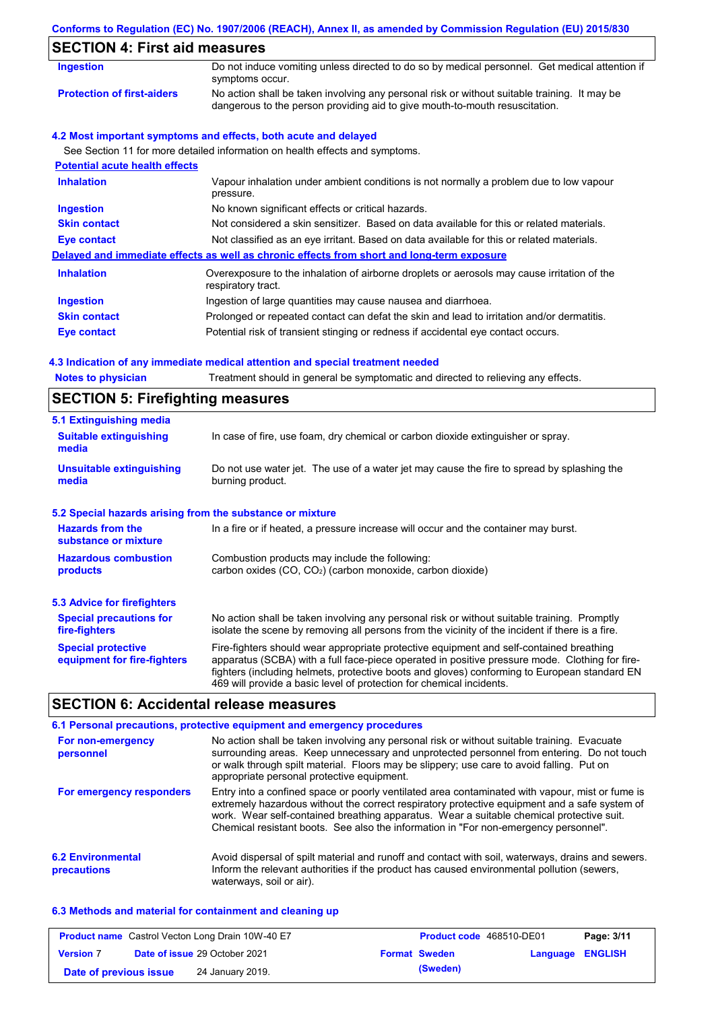|                                       | Conforms to Regulation (EC) No. 1907/2006 (REACH), Annex II, as amended by Commission Regulation (EU) 2015/830                                                              |  |  |  |
|---------------------------------------|-----------------------------------------------------------------------------------------------------------------------------------------------------------------------------|--|--|--|
| <b>SECTION 4: First aid measures</b>  |                                                                                                                                                                             |  |  |  |
| <b>Ingestion</b>                      | Do not induce vomiting unless directed to do so by medical personnel. Get medical attention if<br>symptoms occur.                                                           |  |  |  |
| <b>Protection of first-aiders</b>     | No action shall be taken involving any personal risk or without suitable training. It may be<br>dangerous to the person providing aid to give mouth-to-mouth resuscitation. |  |  |  |
|                                       | 4.2 Most important symptoms and effects, both acute and delayed                                                                                                             |  |  |  |
|                                       | See Section 11 for more detailed information on health effects and symptoms.                                                                                                |  |  |  |
| <b>Potential acute health effects</b> |                                                                                                                                                                             |  |  |  |
| <b>Inhalation</b>                     | Vapour inhalation under ambient conditions is not normally a problem due to low vapour<br>pressure.                                                                         |  |  |  |
| <b>Ingestion</b>                      | No known significant effects or critical hazards.                                                                                                                           |  |  |  |
| <b>Skin contact</b>                   | Not considered a skin sensitizer. Based on data available for this or related materials.                                                                                    |  |  |  |
| <b>Eye contact</b>                    | Not classified as an eye irritant. Based on data available for this or related materials.                                                                                   |  |  |  |
|                                       | Delayed and immediate effects as well as chronic effects from short and long-term exposure                                                                                  |  |  |  |
| <b>Inhalation</b>                     | Overexposure to the inhalation of airborne droplets or aerosols may cause irritation of the<br>respiratory tract.                                                           |  |  |  |
| <b>Ingestion</b>                      | Ingestion of large quantities may cause nausea and diarrhoea.                                                                                                               |  |  |  |
| <b>Skin contact</b>                   | Prolonged or repeated contact can defat the skin and lead to irritation and/or dermatitis.                                                                                  |  |  |  |
| Eye contact                           | Potential risk of transient stinging or redness if accidental eye contact occurs.                                                                                           |  |  |  |
|                                       | 4.3 Indication of any immediate medical attention and special treatment needed                                                                                              |  |  |  |
| <b>Notes to physician</b>             | Treatment should in general be symptomatic and directed to relieving any effects.                                                                                           |  |  |  |

# **SECTION 5: Firefighting measures**

| 5.1 Extinguishing media                                   |                                                                                                                                                                                                                                                                                                                                                                   |
|-----------------------------------------------------------|-------------------------------------------------------------------------------------------------------------------------------------------------------------------------------------------------------------------------------------------------------------------------------------------------------------------------------------------------------------------|
| <b>Suitable extinguishing</b><br>media                    | In case of fire, use foam, dry chemical or carbon dioxide extinguisher or spray.                                                                                                                                                                                                                                                                                  |
| <b>Unsuitable extinguishing</b><br>media                  | Do not use water jet. The use of a water jet may cause the fire to spread by splashing the<br>burning product.                                                                                                                                                                                                                                                    |
| 5.2 Special hazards arising from the substance or mixture |                                                                                                                                                                                                                                                                                                                                                                   |
| <b>Hazards from the</b><br>substance or mixture           | In a fire or if heated, a pressure increase will occur and the container may burst.                                                                                                                                                                                                                                                                               |
| <b>Hazardous combustion</b><br>products                   | Combustion products may include the following:<br>carbon oxides (CO, CO <sub>2</sub> ) (carbon monoxide, carbon dioxide)                                                                                                                                                                                                                                          |
| <b>5.3 Advice for firefighters</b>                        |                                                                                                                                                                                                                                                                                                                                                                   |
| <b>Special precautions for</b><br>fire-fighters           | No action shall be taken involving any personal risk or without suitable training. Promptly<br>isolate the scene by removing all persons from the vicinity of the incident if there is a fire.                                                                                                                                                                    |
| <b>Special protective</b><br>equipment for fire-fighters  | Fire-fighters should wear appropriate protective equipment and self-contained breathing<br>apparatus (SCBA) with a full face-piece operated in positive pressure mode. Clothing for fire-<br>fighters (including helmets, protective boots and gloves) conforming to European standard EN<br>469 will provide a basic level of protection for chemical incidents. |

## **SECTION 6: Accidental release measures**

|                                         | 6.1 Personal precautions, protective equipment and emergency procedures                                                                                                                                                                                                                                                                                                              |
|-----------------------------------------|--------------------------------------------------------------------------------------------------------------------------------------------------------------------------------------------------------------------------------------------------------------------------------------------------------------------------------------------------------------------------------------|
| For non-emergency<br>personnel          | No action shall be taken involving any personal risk or without suitable training. Evacuate<br>surrounding areas. Keep unnecessary and unprotected personnel from entering. Do not touch<br>or walk through spilt material. Floors may be slippery; use care to avoid falling. Put on<br>appropriate personal protective equipment.                                                  |
| For emergency responders                | Entry into a confined space or poorly ventilated area contaminated with vapour, mist or fume is<br>extremely hazardous without the correct respiratory protective equipment and a safe system of<br>work. Wear self-contained breathing apparatus. Wear a suitable chemical protective suit.<br>Chemical resistant boots. See also the information in "For non-emergency personnel". |
| <b>6.2 Environmental</b><br>precautions | Avoid dispersal of spilt material and runoff and contact with soil, waterways, drains and sewers.<br>Inform the relevant authorities if the product has caused environmental pollution (sewers,<br>waterways, soil or air).                                                                                                                                                          |

### **6.3 Methods and material for containment and cleaning up**

|                        | <b>Product name</b> Castrol Vecton Long Drain 10W-40 E7 | Product code 468510-DE01 |                         | Page: 3/11 |
|------------------------|---------------------------------------------------------|--------------------------|-------------------------|------------|
| <b>Version 7</b>       | <b>Date of issue 29 October 2021</b>                    | <b>Format Sweden</b>     | <b>Language ENGLISH</b> |            |
| Date of previous issue | 24 January 2019.                                        | (Sweden)                 |                         |            |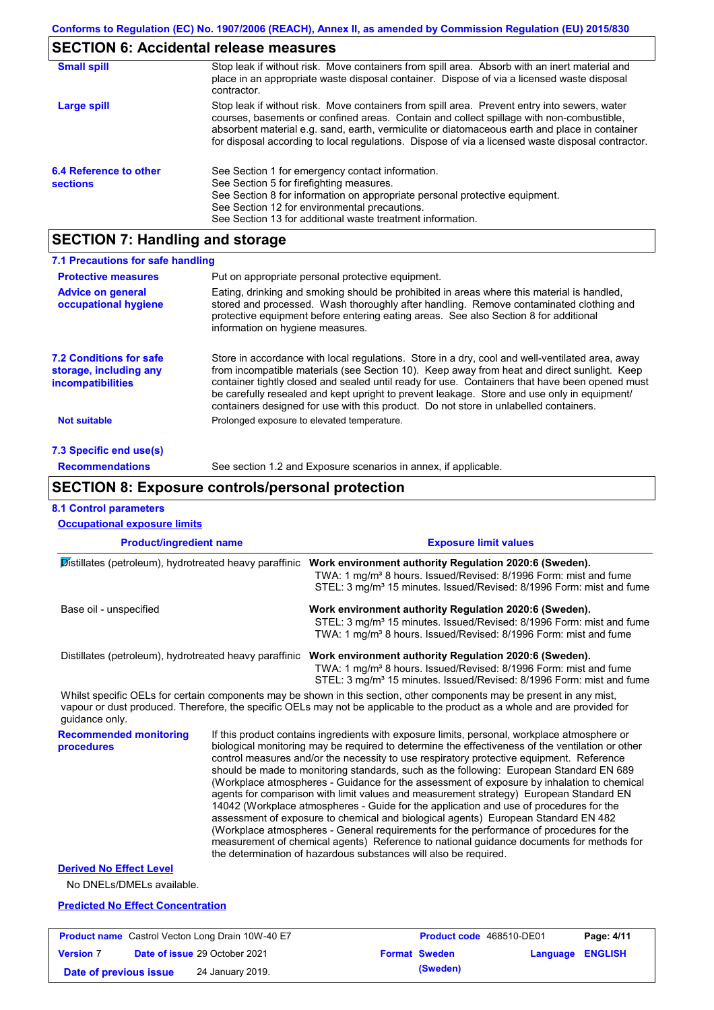# **SECTION 6: Accidental release measures**

| <b>Small spill</b>                        | Stop leak if without risk. Move containers from spill area. Absorb with an inert material and<br>place in an appropriate waste disposal container. Dispose of via a licensed waste disposal<br>contractor.                                                                                                                                                                                     |
|-------------------------------------------|------------------------------------------------------------------------------------------------------------------------------------------------------------------------------------------------------------------------------------------------------------------------------------------------------------------------------------------------------------------------------------------------|
| Large spill                               | Stop leak if without risk. Move containers from spill area. Prevent entry into sewers, water<br>courses, basements or confined areas. Contain and collect spillage with non-combustible,<br>absorbent material e.g. sand, earth, vermiculite or diatomaceous earth and place in container<br>for disposal according to local regulations. Dispose of via a licensed waste disposal contractor. |
| 6.4 Reference to other<br><b>sections</b> | See Section 1 for emergency contact information.<br>See Section 5 for firefighting measures.<br>See Section 8 for information on appropriate personal protective equipment.<br>See Section 12 for environmental precautions.<br>See Section 13 for additional waste treatment information.                                                                                                     |

# **SECTION 7: Handling and storage**

| 7.1 Precautions for safe handling                                                    |                                                                                                                                                                                                                                                                                                                                                                                                                                                                                          |
|--------------------------------------------------------------------------------------|------------------------------------------------------------------------------------------------------------------------------------------------------------------------------------------------------------------------------------------------------------------------------------------------------------------------------------------------------------------------------------------------------------------------------------------------------------------------------------------|
| <b>Protective measures</b>                                                           | Put on appropriate personal protective equipment.                                                                                                                                                                                                                                                                                                                                                                                                                                        |
| <b>Advice on general</b><br>occupational hygiene                                     | Eating, drinking and smoking should be prohibited in areas where this material is handled,<br>stored and processed. Wash thoroughly after handling. Remove contaminated clothing and<br>protective equipment before entering eating areas. See also Section 8 for additional<br>information on hygiene measures.                                                                                                                                                                         |
| <b>7.2 Conditions for safe</b><br>storage, including any<br><i>incompatibilities</i> | Store in accordance with local regulations. Store in a dry, cool and well-ventilated area, away<br>from incompatible materials (see Section 10). Keep away from heat and direct sunlight. Keep<br>container tightly closed and sealed until ready for use. Containers that have been opened must<br>be carefully resealed and kept upright to prevent leakage. Store and use only in equipment/<br>containers designed for use with this product. Do not store in unlabelled containers. |
| Not suitable                                                                         | Prolonged exposure to elevated temperature.                                                                                                                                                                                                                                                                                                                                                                                                                                              |
| 7.3 Specific end use(s)                                                              |                                                                                                                                                                                                                                                                                                                                                                                                                                                                                          |
| <b>Recommendations</b>                                                               | See section 1.2 and Exposure scenarios in annex, if applicable.                                                                                                                                                                                                                                                                                                                                                                                                                          |

## **SECTION 8: Exposure controls/personal protection**

**Date of previous issue (Sweden)** 24 January 2019.

#### **8.1 Control parameters**

| <b>Product/ingredient name</b>                          | <b>Exposure limit values</b><br>Work environment authority Regulation 2020:6 (Sweden).<br>TWA: 1 mg/m <sup>3</sup> 8 hours. Issued/Revised: 8/1996 Form: mist and fume<br>STEL: 3 mg/m <sup>3</sup> 15 minutes. Issued/Revised: 8/1996 Form: mist and fume                                                                                                                                                                                                                                                                                                                                                                                                                                                                                                                                                                                                                                                                                                                                                                 |  |  |
|---------------------------------------------------------|----------------------------------------------------------------------------------------------------------------------------------------------------------------------------------------------------------------------------------------------------------------------------------------------------------------------------------------------------------------------------------------------------------------------------------------------------------------------------------------------------------------------------------------------------------------------------------------------------------------------------------------------------------------------------------------------------------------------------------------------------------------------------------------------------------------------------------------------------------------------------------------------------------------------------------------------------------------------------------------------------------------------------|--|--|
| Distillates (petroleum), hydrotreated heavy paraffinic  |                                                                                                                                                                                                                                                                                                                                                                                                                                                                                                                                                                                                                                                                                                                                                                                                                                                                                                                                                                                                                            |  |  |
| Base oil - unspecified                                  | Work environment authority Regulation 2020:6 (Sweden).<br>STEL: 3 mg/m <sup>3</sup> 15 minutes. Issued/Revised: 8/1996 Form: mist and fume<br>TWA: 1 mg/m <sup>3</sup> 8 hours. Issued/Revised: 8/1996 Form: mist and fume                                                                                                                                                                                                                                                                                                                                                                                                                                                                                                                                                                                                                                                                                                                                                                                                 |  |  |
|                                                         | Distillates (petroleum), hydrotreated heavy paraffinic Work environment authority Regulation 2020:6 (Sweden).<br>TWA: 1 mg/m <sup>3</sup> 8 hours. Issued/Revised: 8/1996 Form: mist and fume<br>STEL: 3 mg/m <sup>3</sup> 15 minutes. Issued/Revised: 8/1996 Form: mist and fume                                                                                                                                                                                                                                                                                                                                                                                                                                                                                                                                                                                                                                                                                                                                          |  |  |
| guidance only.                                          | Whilst specific OELs for certain components may be shown in this section, other components may be present in any mist,<br>vapour or dust produced. Therefore, the specific OELs may not be applicable to the product as a whole and are provided for                                                                                                                                                                                                                                                                                                                                                                                                                                                                                                                                                                                                                                                                                                                                                                       |  |  |
| <b>Recommended monitoring</b><br>procedures             | If this product contains ingredients with exposure limits, personal, workplace atmosphere or<br>biological monitoring may be required to determine the effectiveness of the ventilation or other<br>control measures and/or the necessity to use respiratory protective equipment. Reference<br>should be made to monitoring standards, such as the following: European Standard EN 689<br>(Workplace atmospheres - Guidance for the assessment of exposure by inhalation to chemical<br>agents for comparison with limit values and measurement strategy) European Standard EN<br>14042 (Workplace atmospheres - Guide for the application and use of procedures for the<br>assessment of exposure to chemical and biological agents) European Standard EN 482<br>(Workplace atmospheres - General requirements for the performance of procedures for the<br>measurement of chemical agents) Reference to national guidance documents for methods for<br>the determination of hazardous substances will also be required. |  |  |
| <b>Derived No Effect Level</b>                          |                                                                                                                                                                                                                                                                                                                                                                                                                                                                                                                                                                                                                                                                                                                                                                                                                                                                                                                                                                                                                            |  |  |
| No DNELs/DMELs available.                               |                                                                                                                                                                                                                                                                                                                                                                                                                                                                                                                                                                                                                                                                                                                                                                                                                                                                                                                                                                                                                            |  |  |
| <b>Predicted No Effect Concentration</b>                |                                                                                                                                                                                                                                                                                                                                                                                                                                                                                                                                                                                                                                                                                                                                                                                                                                                                                                                                                                                                                            |  |  |
| <b>Product name</b> Castrol Vecton Long Drain 10W-40 E7 | Page: 4/11<br>Product code 468510-DE01                                                                                                                                                                                                                                                                                                                                                                                                                                                                                                                                                                                                                                                                                                                                                                                                                                                                                                                                                                                     |  |  |
| Date of issue 29 October 2021<br><b>Version 7</b>       | <b>Format Sweden</b><br>Language ENGLISH                                                                                                                                                                                                                                                                                                                                                                                                                                                                                                                                                                                                                                                                                                                                                                                                                                                                                                                                                                                   |  |  |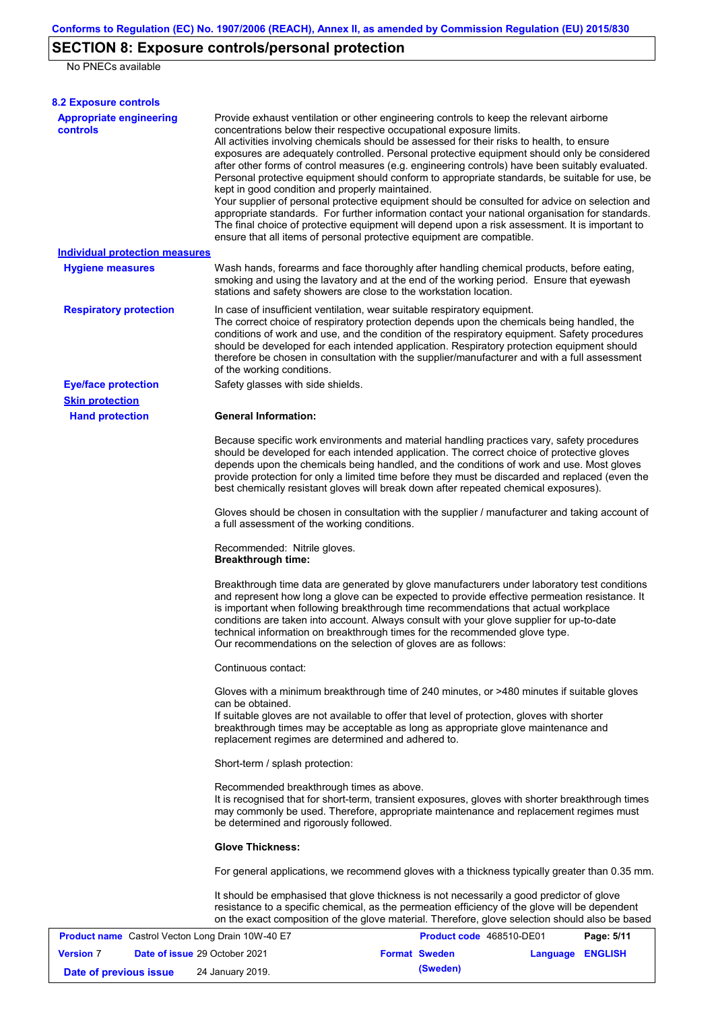# **SECTION 8: Exposure controls/personal protection**

No PNECs available

| <b>8.2 Exposure controls</b>                            |                                                                                                                                                                                                                                                                                                                                                                                                                                                                                                                                                                                                                                                                                                                                                                                                                                                                                                                                                                                                         |                          |                  |            |
|---------------------------------------------------------|---------------------------------------------------------------------------------------------------------------------------------------------------------------------------------------------------------------------------------------------------------------------------------------------------------------------------------------------------------------------------------------------------------------------------------------------------------------------------------------------------------------------------------------------------------------------------------------------------------------------------------------------------------------------------------------------------------------------------------------------------------------------------------------------------------------------------------------------------------------------------------------------------------------------------------------------------------------------------------------------------------|--------------------------|------------------|------------|
| <b>Appropriate engineering</b><br><b>controls</b>       | Provide exhaust ventilation or other engineering controls to keep the relevant airborne<br>concentrations below their respective occupational exposure limits.<br>All activities involving chemicals should be assessed for their risks to health, to ensure<br>exposures are adequately controlled. Personal protective equipment should only be considered<br>after other forms of control measures (e.g. engineering controls) have been suitably evaluated.<br>Personal protective equipment should conform to appropriate standards, be suitable for use, be<br>kept in good condition and properly maintained.<br>Your supplier of personal protective equipment should be consulted for advice on selection and<br>appropriate standards. For further information contact your national organisation for standards.<br>The final choice of protective equipment will depend upon a risk assessment. It is important to<br>ensure that all items of personal protective equipment are compatible. |                          |                  |            |
| <b>Individual protection measures</b>                   |                                                                                                                                                                                                                                                                                                                                                                                                                                                                                                                                                                                                                                                                                                                                                                                                                                                                                                                                                                                                         |                          |                  |            |
| <b>Hygiene measures</b>                                 | Wash hands, forearms and face thoroughly after handling chemical products, before eating,<br>smoking and using the lavatory and at the end of the working period. Ensure that eyewash<br>stations and safety showers are close to the workstation location.                                                                                                                                                                                                                                                                                                                                                                                                                                                                                                                                                                                                                                                                                                                                             |                          |                  |            |
| <b>Respiratory protection</b>                           | In case of insufficient ventilation, wear suitable respiratory equipment.<br>The correct choice of respiratory protection depends upon the chemicals being handled, the<br>conditions of work and use, and the condition of the respiratory equipment. Safety procedures<br>should be developed for each intended application. Respiratory protection equipment should<br>therefore be chosen in consultation with the supplier/manufacturer and with a full assessment<br>of the working conditions.                                                                                                                                                                                                                                                                                                                                                                                                                                                                                                   |                          |                  |            |
| <b>Eye/face protection</b>                              | Safety glasses with side shields.                                                                                                                                                                                                                                                                                                                                                                                                                                                                                                                                                                                                                                                                                                                                                                                                                                                                                                                                                                       |                          |                  |            |
| <b>Skin protection</b>                                  |                                                                                                                                                                                                                                                                                                                                                                                                                                                                                                                                                                                                                                                                                                                                                                                                                                                                                                                                                                                                         |                          |                  |            |
| <b>Hand protection</b>                                  | <b>General Information:</b><br>Because specific work environments and material handling practices vary, safety procedures<br>should be developed for each intended application. The correct choice of protective gloves                                                                                                                                                                                                                                                                                                                                                                                                                                                                                                                                                                                                                                                                                                                                                                                 |                          |                  |            |
|                                                         | depends upon the chemicals being handled, and the conditions of work and use. Most gloves<br>provide protection for only a limited time before they must be discarded and replaced (even the<br>best chemically resistant gloves will break down after repeated chemical exposures).                                                                                                                                                                                                                                                                                                                                                                                                                                                                                                                                                                                                                                                                                                                    |                          |                  |            |
|                                                         | Gloves should be chosen in consultation with the supplier / manufacturer and taking account of<br>a full assessment of the working conditions.                                                                                                                                                                                                                                                                                                                                                                                                                                                                                                                                                                                                                                                                                                                                                                                                                                                          |                          |                  |            |
|                                                         | Recommended: Nitrile gloves.<br><b>Breakthrough time:</b>                                                                                                                                                                                                                                                                                                                                                                                                                                                                                                                                                                                                                                                                                                                                                                                                                                                                                                                                               |                          |                  |            |
|                                                         | Breakthrough time data are generated by glove manufacturers under laboratory test conditions<br>and represent how long a glove can be expected to provide effective permeation resistance. It<br>is important when following breakthrough time recommendations that actual workplace<br>conditions are taken into account. Always consult with your glove supplier for up-to-date<br>technical information on breakthrough times for the recommended glove type.<br>Our recommendations on the selection of gloves are as follows:                                                                                                                                                                                                                                                                                                                                                                                                                                                                      |                          |                  |            |
|                                                         | Continuous contact:                                                                                                                                                                                                                                                                                                                                                                                                                                                                                                                                                                                                                                                                                                                                                                                                                                                                                                                                                                                     |                          |                  |            |
|                                                         | Gloves with a minimum breakthrough time of 240 minutes, or >480 minutes if suitable gloves<br>can be obtained.<br>If suitable gloves are not available to offer that level of protection, gloves with shorter<br>breakthrough times may be acceptable as long as appropriate glove maintenance and<br>replacement regimes are determined and adhered to.                                                                                                                                                                                                                                                                                                                                                                                                                                                                                                                                                                                                                                                |                          |                  |            |
|                                                         | Short-term / splash protection:                                                                                                                                                                                                                                                                                                                                                                                                                                                                                                                                                                                                                                                                                                                                                                                                                                                                                                                                                                         |                          |                  |            |
|                                                         | Recommended breakthrough times as above.<br>It is recognised that for short-term, transient exposures, gloves with shorter breakthrough times<br>may commonly be used. Therefore, appropriate maintenance and replacement regimes must<br>be determined and rigorously followed.                                                                                                                                                                                                                                                                                                                                                                                                                                                                                                                                                                                                                                                                                                                        |                          |                  |            |
|                                                         | <b>Glove Thickness:</b>                                                                                                                                                                                                                                                                                                                                                                                                                                                                                                                                                                                                                                                                                                                                                                                                                                                                                                                                                                                 |                          |                  |            |
|                                                         | For general applications, we recommend gloves with a thickness typically greater than 0.35 mm.                                                                                                                                                                                                                                                                                                                                                                                                                                                                                                                                                                                                                                                                                                                                                                                                                                                                                                          |                          |                  |            |
|                                                         | It should be emphasised that glove thickness is not necessarily a good predictor of glove<br>resistance to a specific chemical, as the permeation efficiency of the glove will be dependent<br>on the exact composition of the glove material. Therefore, glove selection should also be based                                                                                                                                                                                                                                                                                                                                                                                                                                                                                                                                                                                                                                                                                                          |                          |                  |            |
| <b>Product name</b> Castrol Vecton Long Drain 10W-40 E7 |                                                                                                                                                                                                                                                                                                                                                                                                                                                                                                                                                                                                                                                                                                                                                                                                                                                                                                                                                                                                         | Product code 468510-DE01 |                  | Page: 5/11 |
| <b>Version 7</b><br>Date of issue 29 October 2021       |                                                                                                                                                                                                                                                                                                                                                                                                                                                                                                                                                                                                                                                                                                                                                                                                                                                                                                                                                                                                         | <b>Format Sweden</b>     | Language ENGLISH |            |

**Date of previous issue** 24 January 2019.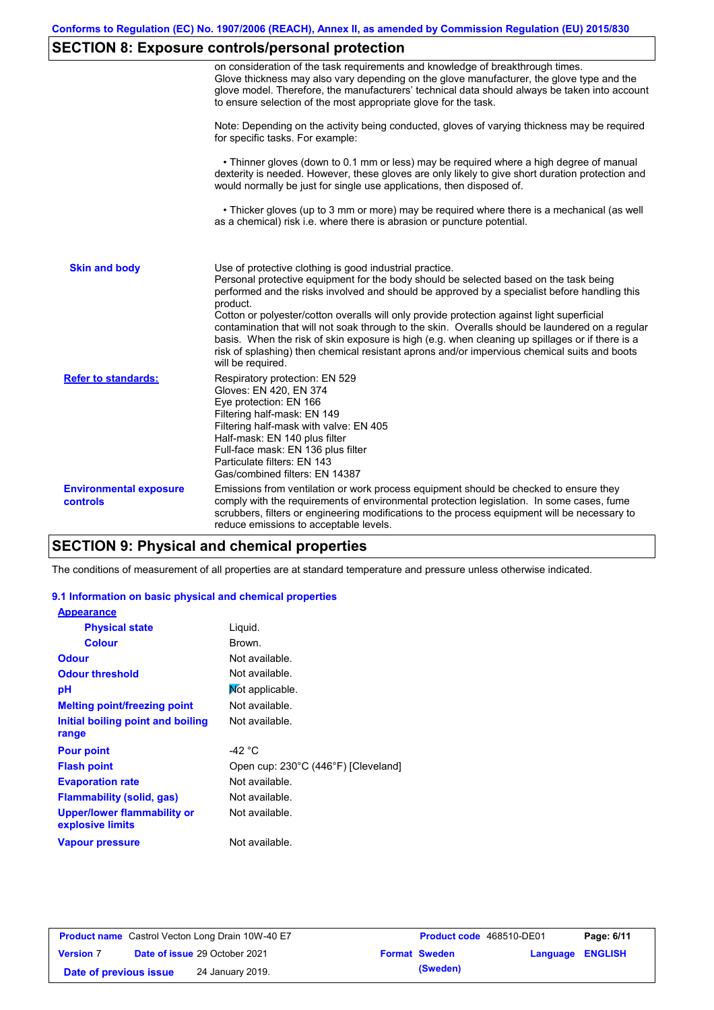# **SECTION 8: Exposure controls/personal protection**

|                                           | on consideration of the task requirements and knowledge of breakthrough times.<br>Glove thickness may also vary depending on the glove manufacturer, the glove type and the<br>glove model. Therefore, the manufacturers' technical data should always be taken into account<br>to ensure selection of the most appropriate glove for the task.                                                                                                                                                                                                                                                                                                                                       |
|-------------------------------------------|---------------------------------------------------------------------------------------------------------------------------------------------------------------------------------------------------------------------------------------------------------------------------------------------------------------------------------------------------------------------------------------------------------------------------------------------------------------------------------------------------------------------------------------------------------------------------------------------------------------------------------------------------------------------------------------|
|                                           | Note: Depending on the activity being conducted, gloves of varying thickness may be required<br>for specific tasks. For example:                                                                                                                                                                                                                                                                                                                                                                                                                                                                                                                                                      |
|                                           | • Thinner gloves (down to 0.1 mm or less) may be required where a high degree of manual<br>dexterity is needed. However, these gloves are only likely to give short duration protection and<br>would normally be just for single use applications, then disposed of.                                                                                                                                                                                                                                                                                                                                                                                                                  |
|                                           | • Thicker gloves (up to 3 mm or more) may be required where there is a mechanical (as well<br>as a chemical) risk i.e. where there is abrasion or puncture potential.                                                                                                                                                                                                                                                                                                                                                                                                                                                                                                                 |
| <b>Skin and body</b>                      | Use of protective clothing is good industrial practice.<br>Personal protective equipment for the body should be selected based on the task being<br>performed and the risks involved and should be approved by a specialist before handling this<br>product.<br>Cotton or polyester/cotton overalls will only provide protection against light superficial<br>contamination that will not soak through to the skin. Overalls should be laundered on a regular<br>basis. When the risk of skin exposure is high (e.g. when cleaning up spillages or if there is a<br>risk of splashing) then chemical resistant aprons and/or impervious chemical suits and boots<br>will be required. |
| <b>Refer to standards:</b>                | Respiratory protection: EN 529<br>Gloves: EN 420, EN 374<br>Eye protection: EN 166<br>Filtering half-mask: EN 149<br>Filtering half-mask with valve: EN 405<br>Half-mask: EN 140 plus filter<br>Full-face mask: EN 136 plus filter<br>Particulate filters: EN 143<br>Gas/combined filters: EN 14387                                                                                                                                                                                                                                                                                                                                                                                   |
| <b>Environmental exposure</b><br>controls | Emissions from ventilation or work process equipment should be checked to ensure they<br>comply with the requirements of environmental protection legislation. In some cases, fume<br>scrubbers, filters or engineering modifications to the process equipment will be necessary to<br>reduce emissions to acceptable levels.                                                                                                                                                                                                                                                                                                                                                         |

# **SECTION 9: Physical and chemical properties**

The conditions of measurement of all properties are at standard temperature and pressure unless otherwise indicated.

#### **9.1 Information on basic physical and chemical properties**

| <b>Appearance</b>                                      |                                     |
|--------------------------------------------------------|-------------------------------------|
| <b>Physical state</b>                                  | Liquid.                             |
| <b>Colour</b>                                          | Brown.                              |
| <b>Odour</b>                                           | Not available.                      |
| <b>Odour threshold</b>                                 | Not available.                      |
| рH                                                     | Not applicable.                     |
| <b>Melting point/freezing point</b>                    | Not available.                      |
| Initial boiling point and boiling                      | Not available.                      |
| range                                                  |                                     |
| <b>Pour point</b>                                      | -42 $^{\circ}$ C                    |
| <b>Flash point</b>                                     | Open cup: 230°C (446°F) [Cleveland] |
| <b>Evaporation rate</b>                                | Not available.                      |
| <b>Flammability (solid, gas)</b>                       | Not available.                      |
| <b>Upper/lower flammability or</b><br>explosive limits | Not available.                      |
| <b>Vapour pressure</b>                                 | Not available.                      |
|                                                        |                                     |

| <b>Product name</b> Castrol Vecton Long Drain 10W-40 E7 |  | <b>Product code</b> 468510-DE01      |  | Page: 6/11           |                         |  |
|---------------------------------------------------------|--|--------------------------------------|--|----------------------|-------------------------|--|
| <b>Version 7</b>                                        |  | <b>Date of issue 29 October 2021</b> |  | <b>Format Sweden</b> | <b>Language ENGLISH</b> |  |
| Date of previous issue                                  |  | 24 January 2019.                     |  | (Sweden)             |                         |  |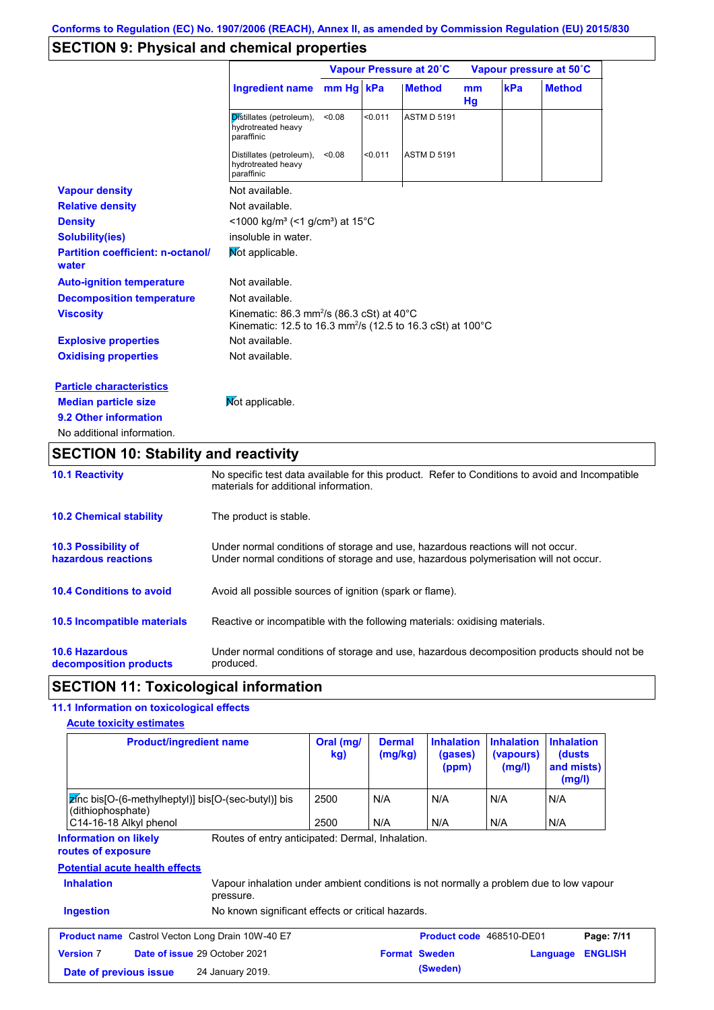## **SECTION 9: Physical and chemical properties**

|                                                   |                                                                                                                                            | Vapour Pressure at 20°C |         |                    | Vapour pressure at 50°C    |     |               |
|---------------------------------------------------|--------------------------------------------------------------------------------------------------------------------------------------------|-------------------------|---------|--------------------|----------------------------|-----|---------------|
|                                                   | <b>Ingredient name</b>                                                                                                                     | mm Hg kPa               |         | <b>Method</b>      | <sub>mm</sub><br><b>Hg</b> | kPa | <b>Method</b> |
|                                                   | Distillates (petroleum),<br>hydrotreated heavy<br>paraffinic                                                                               | < 0.08                  | < 0.011 | <b>ASTM D 5191</b> |                            |     |               |
|                                                   | Distillates (petroleum),<br>hydrotreated heavy<br>paraffinic                                                                               | < 0.08                  | < 0.011 | <b>ASTM D 5191</b> |                            |     |               |
| <b>Vapour density</b>                             | Not available.                                                                                                                             |                         |         |                    |                            |     |               |
| <b>Relative density</b>                           | Not available.                                                                                                                             |                         |         |                    |                            |     |               |
| <b>Density</b>                                    | $\leq$ 1000 kg/m <sup>3</sup> (<1 g/cm <sup>3</sup> ) at 15 <sup>°</sup> C                                                                 |                         |         |                    |                            |     |               |
| <b>Solubility(ies)</b>                            | insoluble in water.                                                                                                                        |                         |         |                    |                            |     |               |
| <b>Partition coefficient: n-octanol/</b><br>water | Mot applicable.                                                                                                                            |                         |         |                    |                            |     |               |
| <b>Auto-ignition temperature</b>                  | Not available.                                                                                                                             |                         |         |                    |                            |     |               |
| <b>Decomposition temperature</b>                  | Not available.                                                                                                                             |                         |         |                    |                            |     |               |
| <b>Viscosity</b>                                  | Kinematic: 86.3 mm <sup>2</sup> /s (86.3 cSt) at 40 $^{\circ}$ C<br>Kinematic: 12.5 to 16.3 mm <sup>2</sup> /s (12.5 to 16.3 cSt) at 100°C |                         |         |                    |                            |     |               |
| <b>Explosive properties</b>                       | Not available.                                                                                                                             |                         |         |                    |                            |     |               |
| <b>Oxidising properties</b>                       | Not available.                                                                                                                             |                         |         |                    |                            |     |               |
| <b>Particle characteristics</b>                   |                                                                                                                                            |                         |         |                    |                            |     |               |
| <b>Median particle size</b>                       | Not applicable.                                                                                                                            |                         |         |                    |                            |     |               |
| 9.2 Other information                             |                                                                                                                                            |                         |         |                    |                            |     |               |
| No additional information.                        |                                                                                                                                            |                         |         |                    |                            |     |               |

# **SECTION 10: Stability and reactivity**

| <b>10.1 Reactivity</b>                            | No specific test data available for this product. Refer to Conditions to avoid and Incompatible<br>materials for additional information.                                |
|---------------------------------------------------|-------------------------------------------------------------------------------------------------------------------------------------------------------------------------|
| <b>10.2 Chemical stability</b>                    | The product is stable.                                                                                                                                                  |
| <b>10.3 Possibility of</b><br>hazardous reactions | Under normal conditions of storage and use, hazardous reactions will not occur.<br>Under normal conditions of storage and use, hazardous polymerisation will not occur. |
| <b>10.4 Conditions to avoid</b>                   | Avoid all possible sources of ignition (spark or flame).                                                                                                                |
| <b>10.5 Incompatible materials</b>                | Reactive or incompatible with the following materials: oxidising materials.                                                                                             |
| <b>10.6 Hazardous</b><br>decomposition products   | Under normal conditions of storage and use, hazardous decomposition products should not be<br>produced.                                                                 |

## **SECTION 11: Toxicological information**

## **11.1 Information on toxicological effects**

| <b>Acute toxicity estimates</b> |
|---------------------------------|
|---------------------------------|

| <b>Product/ingredient name</b>                                                           |                                                                                                     | Oral (mg/<br>kg) | <b>Dermal</b><br>(mg/kg) | <b>Inhalation</b><br>(gases)<br>(ppm) | <b>Inhalation</b><br>(vapours)<br>(mg/l) | <b>Inhalation</b><br>(dusts)<br>and mists)<br>(mg/l) |
|------------------------------------------------------------------------------------------|-----------------------------------------------------------------------------------------------------|------------------|--------------------------|---------------------------------------|------------------------------------------|------------------------------------------------------|
| $\overline{z}$ (nc bis [O-(6-methylheptyl)] bis [O-(sec-butyl)] bis<br>(dithiophosphate) |                                                                                                     | 2500             | N/A                      | N/A                                   | N/A                                      | N/A                                                  |
| C14-16-18 Alkyl phenol                                                                   |                                                                                                     | 2500             | N/A                      | N/A                                   | N/A                                      | N/A                                                  |
| routes of exposure<br><b>Potential acute health effects</b><br><b>Inhalation</b>         | Vapour inhalation under ambient conditions is not normally a problem due to low vapour<br>pressure. |                  |                          |                                       |                                          |                                                      |
| <b>Ingestion</b>                                                                         | No known significant effects or critical hazards.                                                   |                  |                          |                                       |                                          |                                                      |
| <b>Product name</b> Castrol Vecton Long Drain 10W-40 E7                                  |                                                                                                     |                  |                          | Product code 468510-DE01              |                                          | Page: 7/11                                           |
| <b>Version 7</b><br><b>Date of issue 29 October 2021</b>                                 |                                                                                                     |                  | <b>Format Sweden</b>     |                                       |                                          | <b>ENGLISH</b><br>Language                           |
| Date of previous issue                                                                   | 24 January 2019.                                                                                    |                  |                          | (Sweden)                              |                                          |                                                      |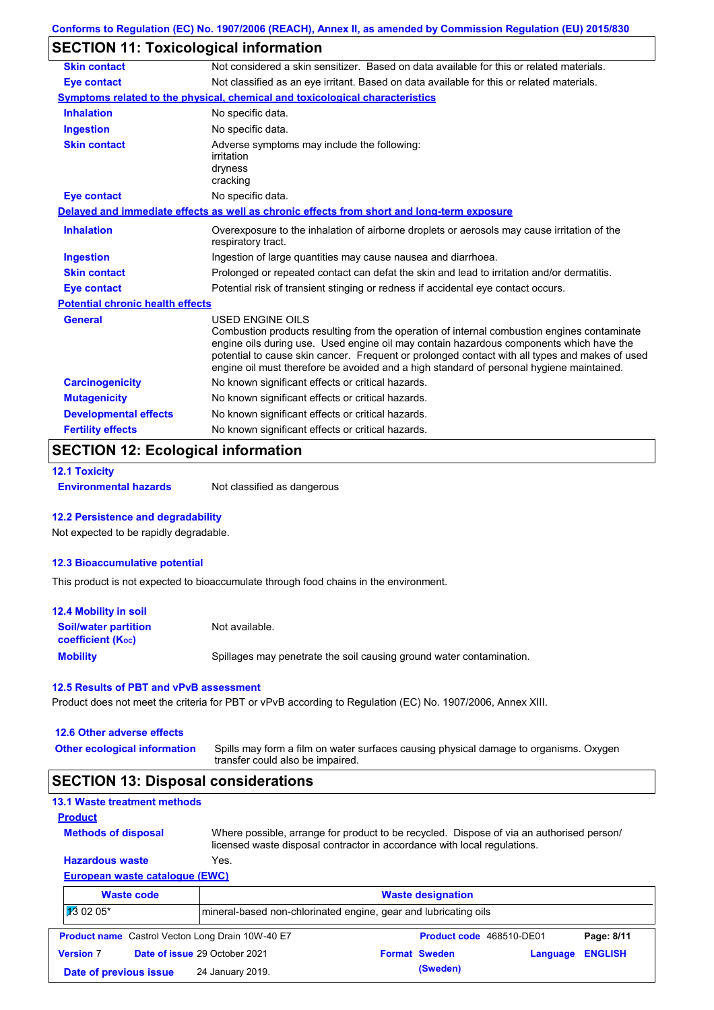# **SECTION 11: Toxicological information**

| Not considered a skin sensitizer. Based on data available for this or related materials.                                                                                                                                                                                                                                                                                                                 |
|----------------------------------------------------------------------------------------------------------------------------------------------------------------------------------------------------------------------------------------------------------------------------------------------------------------------------------------------------------------------------------------------------------|
| Not classified as an eye irritant. Based on data available for this or related materials.                                                                                                                                                                                                                                                                                                                |
| Symptoms related to the physical, chemical and toxicological characteristics                                                                                                                                                                                                                                                                                                                             |
| No specific data.                                                                                                                                                                                                                                                                                                                                                                                        |
| No specific data.                                                                                                                                                                                                                                                                                                                                                                                        |
| Adverse symptoms may include the following:<br>irritation<br>dryness<br>cracking                                                                                                                                                                                                                                                                                                                         |
| No specific data.                                                                                                                                                                                                                                                                                                                                                                                        |
| Delayed and immediate effects as well as chronic effects from short and long-term exposure                                                                                                                                                                                                                                                                                                               |
| Overexposure to the inhalation of airborne droplets or aerosols may cause irritation of the<br>respiratory tract.                                                                                                                                                                                                                                                                                        |
| Ingestion of large quantities may cause nausea and diarrhoea.                                                                                                                                                                                                                                                                                                                                            |
| Prolonged or repeated contact can defat the skin and lead to irritation and/or dermatitis.                                                                                                                                                                                                                                                                                                               |
| Potential risk of transient stinging or redness if accidental eye contact occurs.                                                                                                                                                                                                                                                                                                                        |
| <b>Potential chronic health effects</b>                                                                                                                                                                                                                                                                                                                                                                  |
| USED ENGINE OILS<br>Combustion products resulting from the operation of internal combustion engines contaminate<br>engine oils during use. Used engine oil may contain hazardous components which have the<br>potential to cause skin cancer. Frequent or prolonged contact with all types and makes of used<br>engine oil must therefore be avoided and a high standard of personal hygiene maintained. |
| No known significant effects or critical hazards.                                                                                                                                                                                                                                                                                                                                                        |
| No known significant effects or critical hazards.                                                                                                                                                                                                                                                                                                                                                        |
|                                                                                                                                                                                                                                                                                                                                                                                                          |
| No known significant effects or critical hazards.                                                                                                                                                                                                                                                                                                                                                        |
|                                                                                                                                                                                                                                                                                                                                                                                                          |

### **SECTION 12: Ecological information**

```
12.1 Toxicity
```
**Environmental hazards** Not classified as dangerous

#### **12.2 Persistence and degradability**

Not expected to be rapidly degradable.

#### **12.3 Bioaccumulative potential**

This product is not expected to bioaccumulate through food chains in the environment.

| <b>12.4 Mobility in soil</b>                                  |                                                                      |
|---------------------------------------------------------------|----------------------------------------------------------------------|
| <b>Soil/water partition</b><br>coefficient (K <sub>oc</sub> ) | Not available.                                                       |
| <b>Mobility</b>                                               | Spillages may penetrate the soil causing ground water contamination. |

#### **12.5 Results of PBT and vPvB assessment**

Product does not meet the criteria for PBT or vPvB according to Regulation (EC) No. 1907/2006, Annex XIII.

#### **12.6 Other adverse effects**

**Other ecological information**

Spills may form a film on water surfaces causing physical damage to organisms. Oxygen transfer could also be impaired.

### **SECTION 13: Disposal considerations**

|  | <b>13.1 Waste treatment methods</b> |  |
|--|-------------------------------------|--|
|  |                                     |  |

```
Methods of disposal
Product
```
**Hazardous waste** Yes. Where possible, arrange for product to be recycled. Dispose of via an authorised person/ licensed waste disposal contractor in accordance with local regulations.

### **European waste catalogue (EWC)**

|                  | <b>Waste code</b>      | <b>Waste designation</b>                                        |  |                      |                          |                |
|------------------|------------------------|-----------------------------------------------------------------|--|----------------------|--------------------------|----------------|
| $130205*$        |                        | mineral-based non-chlorinated engine, gear and lubricating oils |  |                      |                          |                |
|                  |                        | <b>Product name</b> Castrol Vecton Long Drain 10W-40 E7         |  |                      | Product code 468510-DE01 | Page: 8/11     |
| <b>Version 7</b> |                        | Date of issue 29 October 2021                                   |  | <b>Format Sweden</b> | Language                 | <b>ENGLISH</b> |
|                  | Date of previous issue | 24 January 2019.                                                |  | (Sweden)             |                          |                |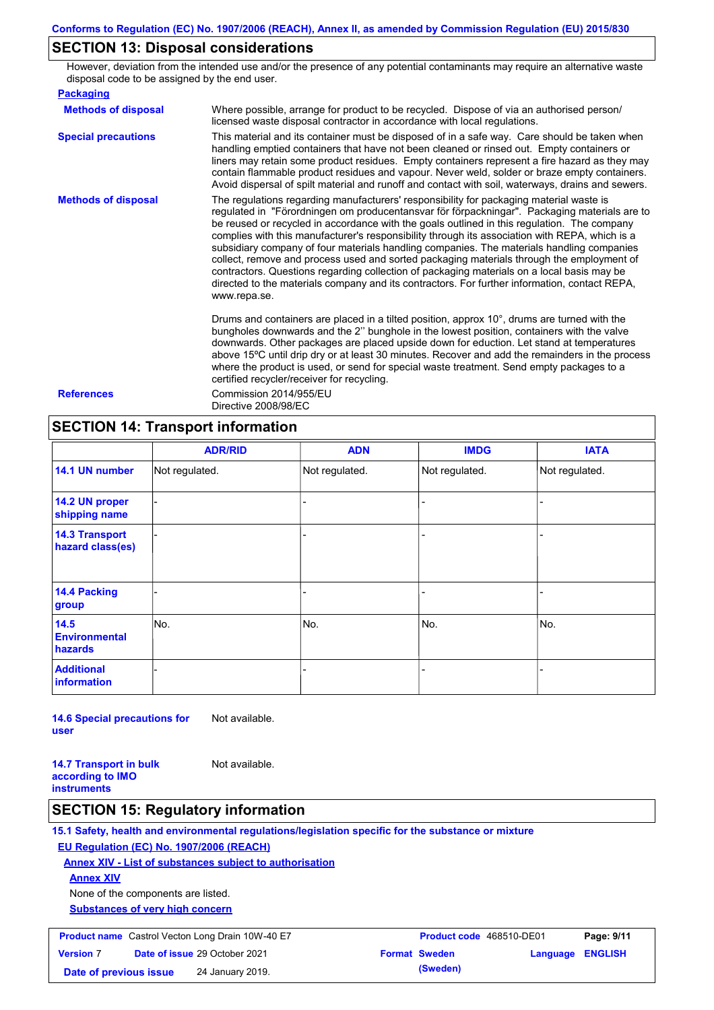### **SECTION 13: Disposal considerations**

However, deviation from the intended use and/or the presence of any potential contaminants may require an alternative waste disposal code to be assigned by the end user.

| <b>Packaging</b>           |                                                                                                                                                                                                                                                                                                                                                                                                                                                                                                                                                                                                                                                                                                                                                                                                   |
|----------------------------|---------------------------------------------------------------------------------------------------------------------------------------------------------------------------------------------------------------------------------------------------------------------------------------------------------------------------------------------------------------------------------------------------------------------------------------------------------------------------------------------------------------------------------------------------------------------------------------------------------------------------------------------------------------------------------------------------------------------------------------------------------------------------------------------------|
| <b>Methods of disposal</b> | Where possible, arrange for product to be recycled. Dispose of via an authorised person/<br>licensed waste disposal contractor in accordance with local regulations.                                                                                                                                                                                                                                                                                                                                                                                                                                                                                                                                                                                                                              |
| <b>Special precautions</b> | This material and its container must be disposed of in a safe way. Care should be taken when<br>handling emptied containers that have not been cleaned or rinsed out. Empty containers or<br>liners may retain some product residues. Empty containers represent a fire hazard as they may<br>contain flammable product residues and vapour. Never weld, solder or braze empty containers.<br>Avoid dispersal of spilt material and runoff and contact with soil, waterways, drains and sewers.                                                                                                                                                                                                                                                                                                   |
| <b>Methods of disposal</b> | The regulations regarding manufacturers' responsibility for packaging material waste is<br>regulated in "Förordningen om producentansvar för förpackningar". Packaging materials are to<br>be reused or recycled in accordance with the goals outlined in this regulation. The company<br>complies with this manufacturer's responsibility through its association with REPA, which is a<br>subsidiary company of four materials handling companies. The materials handling companies<br>collect, remove and process used and sorted packaging materials through the employment of<br>contractors. Questions regarding collection of packaging materials on a local basis may be<br>directed to the materials company and its contractors. For further information, contact REPA,<br>www.repa.se. |
|                            | Drums and containers are placed in a tilted position, approx 10°, drums are turned with the<br>bungholes downwards and the 2" bunghole in the lowest position, containers with the valve<br>downwards. Other packages are placed upside down for eduction. Let stand at temperatures<br>above 15°C until drip dry or at least 30 minutes. Recover and add the remainders in the process<br>where the product is used, or send for special waste treatment. Send empty packages to a<br>certified recycler/receiver for recycling.                                                                                                                                                                                                                                                                 |
| <b>References</b>          | Commission 2014/955/EU<br>Directive 2008/98/EC                                                                                                                                                                                                                                                                                                                                                                                                                                                                                                                                                                                                                                                                                                                                                    |

### **SECTION 14: Transport information**

|                                           | <b>ADR/RID</b> | <b>ADN</b>     | <b>IMDG</b>    | <b>IATA</b>    |
|-------------------------------------------|----------------|----------------|----------------|----------------|
| 14.1 UN number                            | Not regulated. | Not regulated. | Not regulated. | Not regulated. |
| 14.2 UN proper<br>shipping name           |                |                | -              |                |
| <b>14.3 Transport</b><br>hazard class(es) |                |                | $\blacksquare$ |                |
| <b>14.4 Packing</b><br>group              |                |                |                |                |
| 14.5<br><b>Environmental</b><br>hazards   | No.            | No.            | No.            | No.            |
| <b>Additional</b><br><b>information</b>   |                |                |                |                |

**14.6 Special precautions for user** Not available.

**14.7 Transport in bulk according to IMO instruments**

### **SECTION 15: Regulatory information**

**15.1 Safety, health and environmental regulations/legislation specific for the substance or mixture**

**EU Regulation (EC) No. 1907/2006 (REACH)**

**Annex XIV - List of substances subject to authorisation**

Not available.

**Annex XIV**

None of the components are listed.

**Substances of very high concern**

| <b>Product name</b> Castrol Vecton Long Drain 10W-40 E7 |  | Product code 468510-DE01             |  | Page: 9/11           |                         |  |
|---------------------------------------------------------|--|--------------------------------------|--|----------------------|-------------------------|--|
| <b>Version 7</b>                                        |  | <b>Date of issue 29 October 2021</b> |  | <b>Format Sweden</b> | <b>Language ENGLISH</b> |  |
| Date of previous issue                                  |  | 24 January 2019.                     |  | (Sweden)             |                         |  |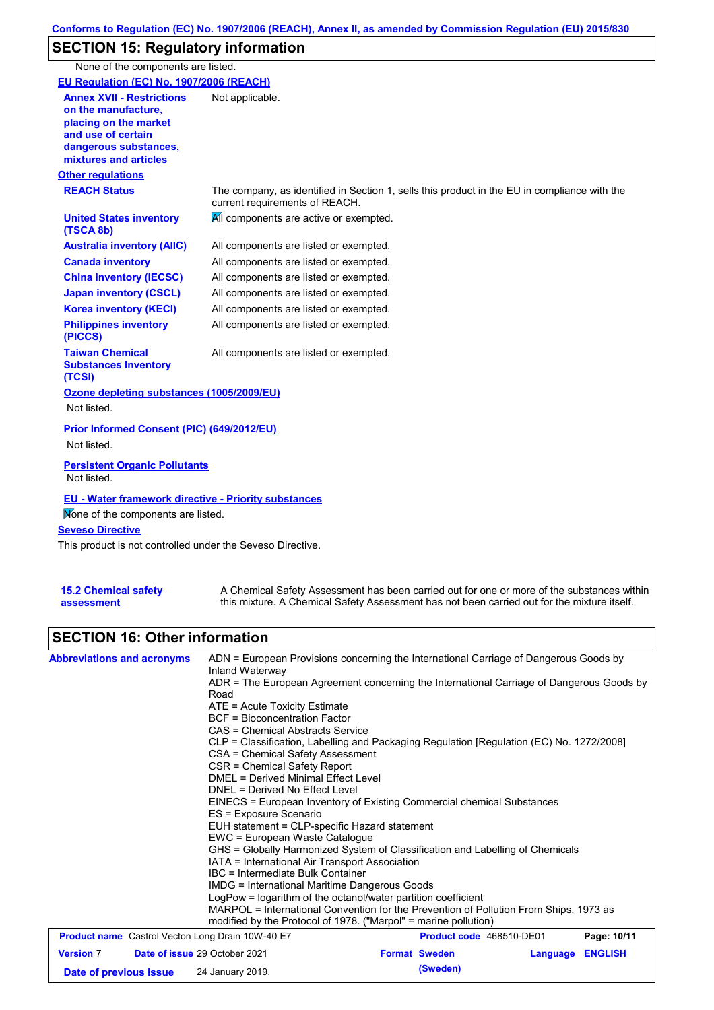# **SECTION 15: Regulatory information**

None of the components are listed.

| EU Regulation (EC) No. 1907/2006 (REACH)                                                                                                                 |                                                                                                                                |
|----------------------------------------------------------------------------------------------------------------------------------------------------------|--------------------------------------------------------------------------------------------------------------------------------|
| <b>Annex XVII - Restrictions</b><br>on the manufacture.<br>placing on the market<br>and use of certain<br>dangerous substances,<br>mixtures and articles | Not applicable.                                                                                                                |
| <b>Other regulations</b>                                                                                                                                 |                                                                                                                                |
| <b>REACH Status</b>                                                                                                                                      | The company, as identified in Section 1, sells this product in the EU in compliance with the<br>current requirements of REACH. |
| <b>United States inventory</b><br>(TSCA 8b)                                                                                                              | All components are active or exempted.                                                                                         |
| <b>Australia inventory (AIIC)</b>                                                                                                                        | All components are listed or exempted.                                                                                         |
| <b>Canada inventory</b>                                                                                                                                  | All components are listed or exempted.                                                                                         |
| <b>China inventory (IECSC)</b>                                                                                                                           | All components are listed or exempted.                                                                                         |
| <b>Japan inventory (CSCL)</b>                                                                                                                            | All components are listed or exempted.                                                                                         |
| <b>Korea inventory (KECI)</b>                                                                                                                            | All components are listed or exempted.                                                                                         |
| <b>Philippines inventory</b><br>(PICCS)                                                                                                                  | All components are listed or exempted.                                                                                         |
| <b>Taiwan Chemical</b><br><b>Substances Inventory</b><br>(TCSI)                                                                                          | All components are listed or exempted.                                                                                         |
| Ozone depleting substances (1005/2009/EU)                                                                                                                |                                                                                                                                |
| Not listed.                                                                                                                                              |                                                                                                                                |
| Prior Informed Consent (PIC) (649/2012/EU)<br>Not listed.                                                                                                |                                                                                                                                |
| <b>Persistent Organic Pollutants</b><br>Not listed.                                                                                                      |                                                                                                                                |
| <b>EU - Water framework directive - Priority substances</b><br>Mone of the components are listed.<br><b>Seveso Directive</b>                             |                                                                                                                                |
| This product is not controlled under the Seveso Directive.                                                                                               |                                                                                                                                |

| <b>15.2 Chemical safety</b> | A Chemical Safety Assessment has been carried out for one or more of the substances within  |
|-----------------------------|---------------------------------------------------------------------------------------------|
| assessment                  | this mixture. A Chemical Safety Assessment has not been carried out for the mixture itself. |

# **SECTION 16: Other information**

| <b>Abbreviations and acronyms</b> | ADN = European Provisions concerning the International Carriage of Dangerous Goods by<br>Inland Waterway                                                                                                                                                                                                                                                                                                                                                                                            |  |  |  |  |  |
|-----------------------------------|-----------------------------------------------------------------------------------------------------------------------------------------------------------------------------------------------------------------------------------------------------------------------------------------------------------------------------------------------------------------------------------------------------------------------------------------------------------------------------------------------------|--|--|--|--|--|
|                                   | ADR = The European Agreement concerning the International Carriage of Dangerous Goods by<br>Road                                                                                                                                                                                                                                                                                                                                                                                                    |  |  |  |  |  |
|                                   | $ATE =$ Acute Toxicity Estimate                                                                                                                                                                                                                                                                                                                                                                                                                                                                     |  |  |  |  |  |
|                                   | <b>BCF</b> = Bioconcentration Factor                                                                                                                                                                                                                                                                                                                                                                                                                                                                |  |  |  |  |  |
|                                   | CAS = Chemical Abstracts Service                                                                                                                                                                                                                                                                                                                                                                                                                                                                    |  |  |  |  |  |
|                                   | CLP = Classification, Labelling and Packaging Regulation [Regulation (EC) No. 1272/2008]<br>CSA = Chemical Safety Assessment                                                                                                                                                                                                                                                                                                                                                                        |  |  |  |  |  |
|                                   | CSR = Chemical Safety Report                                                                                                                                                                                                                                                                                                                                                                                                                                                                        |  |  |  |  |  |
|                                   | <b>DMEL = Derived Minimal Effect Level</b><br>DNEL = Derived No Effect Level<br>EINECS = European Inventory of Existing Commercial chemical Substances<br>ES = Exposure Scenario<br>EUH statement = CLP-specific Hazard statement<br>EWC = European Waste Catalogue<br>GHS = Globally Harmonized System of Classification and Labelling of Chemicals<br>IATA = International Air Transport Association<br>IBC = Intermediate Bulk Container<br><b>IMDG</b> = International Maritime Dangerous Goods |  |  |  |  |  |
|                                   |                                                                                                                                                                                                                                                                                                                                                                                                                                                                                                     |  |  |  |  |  |
|                                   |                                                                                                                                                                                                                                                                                                                                                                                                                                                                                                     |  |  |  |  |  |
|                                   |                                                                                                                                                                                                                                                                                                                                                                                                                                                                                                     |  |  |  |  |  |
|                                   |                                                                                                                                                                                                                                                                                                                                                                                                                                                                                                     |  |  |  |  |  |
|                                   |                                                                                                                                                                                                                                                                                                                                                                                                                                                                                                     |  |  |  |  |  |
|                                   |                                                                                                                                                                                                                                                                                                                                                                                                                                                                                                     |  |  |  |  |  |
|                                   |                                                                                                                                                                                                                                                                                                                                                                                                                                                                                                     |  |  |  |  |  |
|                                   |                                                                                                                                                                                                                                                                                                                                                                                                                                                                                                     |  |  |  |  |  |
|                                   | LogPow = logarithm of the octanol/water partition coefficient                                                                                                                                                                                                                                                                                                                                                                                                                                       |  |  |  |  |  |
|                                   | MARPOL = International Convention for the Prevention of Pollution From Ships, 1973 as                                                                                                                                                                                                                                                                                                                                                                                                               |  |  |  |  |  |
|                                   | modified by the Protocol of 1978. ("Marpol" = marine pollution)                                                                                                                                                                                                                                                                                                                                                                                                                                     |  |  |  |  |  |
|                                   | <b>Product name</b> Castrol Vecton Long Drain 10W-40 E7<br>Product code 468510-DE01<br>Page: 10/11                                                                                                                                                                                                                                                                                                                                                                                                  |  |  |  |  |  |
| <b>Version 7</b>                  | Date of issue 29 October 2021<br><b>Format Sweden</b><br><b>ENGLISH</b><br>Language                                                                                                                                                                                                                                                                                                                                                                                                                 |  |  |  |  |  |
| Date of previous issue            | (Sweden)<br>24 January 2019.                                                                                                                                                                                                                                                                                                                                                                                                                                                                        |  |  |  |  |  |